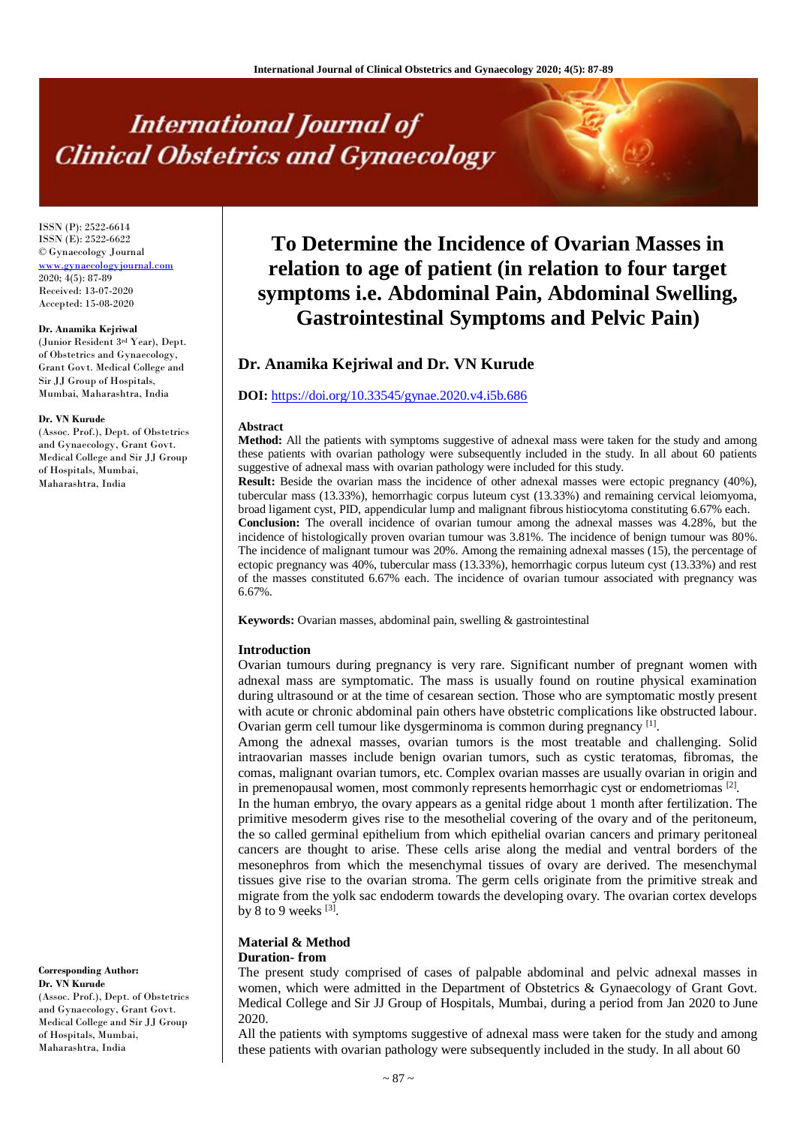# **International Journal of Clinical Obstetrics and Gynaecology**

ISSN (P): 2522-6614 ISSN (E): 2522-6622 © Gynaecology Journal <www.gynaecologyjournal.com> 2020; 4(5): 87-89 Received: 13-07-2020 Accepted: 15-08-2020

#### **Dr. Anamika Kejriwal**

(Junior Resident 3rd Year), Dept. of Obstetrics and Gynaecology, Grant Govt. Medical College and Sir JJ Group of Hospitals, Mumbai, Maharashtra, India

#### **Dr. VN Kurude**

(Assoc. Prof.), Dept. of Obstetrics and Gynaecology, Grant Govt. Medical College and Sir JJ Group of Hospitals, Mumbai, Maharashtra, India

**Corresponding Author: Dr. VN Kurude** (Assoc. Prof.), Dept. of Obstetrics and Gynaecology, Grant Govt. Medical College and Sir JJ Group of Hospitals, Mumbai, Maharashtra, India

# **To Determine the Incidence of Ovarian Masses in relation to age of patient (in relation to four target symptoms i.e. Abdominal Pain, Abdominal Swelling, Gastrointestinal Symptoms and Pelvic Pain)**

# **Dr. Anamika Kejriwal and Dr. VN Kurude**

# **DOI:** <https://doi.org/10.33545/gynae.2020.v4.i5b.686>

#### **Abstract**

**Method:** All the patients with symptoms suggestive of adnexal mass were taken for the study and among these patients with ovarian pathology were subsequently included in the study. In all about 60 patients suggestive of adnexal mass with ovarian pathology were included for this study.

**Result:** Beside the ovarian mass the incidence of other adnexal masses were ectopic pregnancy (40%), tubercular mass (13.33%), hemorrhagic corpus luteum cyst (13.33%) and remaining cervical leiomyoma, broad ligament cyst, PID, appendicular lump and malignant fibrous histiocytoma constituting 6.67% each. **Conclusion:** The overall incidence of ovarian tumour among the adnexal masses was 4.28%, but the incidence of histologically proven ovarian tumour was 3.81%. The incidence of benign tumour was 80%. The incidence of malignant tumour was 20%. Among the remaining adnexal masses (15), the percentage of ectopic pregnancy was 40%, tubercular mass (13.33%), hemorrhagic corpus luteum cyst (13.33%) and rest of the masses constituted 6.67% each. The incidence of ovarian tumour associated with pregnancy was 6.67%.

**Keywords:** Ovarian masses, abdominal pain, swelling & gastrointestinal

#### **Introduction**

Ovarian tumours during pregnancy is very rare. Significant number of pregnant women with adnexal mass are symptomatic. The mass is usually found on routine physical examination during ultrasound or at the time of cesarean section. Those who are symptomatic mostly present with acute or chronic abdominal pain others have obstetric complications like obstructed labour. Ovarian germ cell tumour like dysgerminoma is common during pregnancy [1].

Among the adnexal masses, ovarian tumors is the most treatable and challenging. Solid intraovarian masses include benign ovarian tumors, such as cystic teratomas, fibromas, the comas, malignant ovarian tumors, etc. Complex ovarian masses are usually ovarian in origin and in premenopausal women, most commonly represents hemorrhagic cyst or endometriomas  $[2]$ .

In the human embryo, the ovary appears as a genital ridge about 1 month after fertilization. The primitive mesoderm gives rise to the mesothelial covering of the ovary and of the peritoneum, the so called germinal epithelium from which epithelial ovarian cancers and primary peritoneal cancers are thought to arise. These cells arise along the medial and ventral borders of the mesonephros from which the mesenchymal tissues of ovary are derived. The mesenchymal tissues give rise to the ovarian stroma. The germ cells originate from the primitive streak and migrate from the yolk sac endoderm towards the developing ovary. The ovarian cortex develops by 8 to 9 weeks  $^{[3]}$ .

# **Material & Method**

# **Duration- from**

The present study comprised of cases of palpable abdominal and pelvic adnexal masses in women, which were admitted in the Department of Obstetrics & Gynaecology of Grant Govt. Medical College and Sir JJ Group of Hospitals, Mumbai, during a period from Jan 2020 to June 2020.

All the patients with symptoms suggestive of adnexal mass were taken for the study and among these patients with ovarian pathology were subsequently included in the study. In all about 60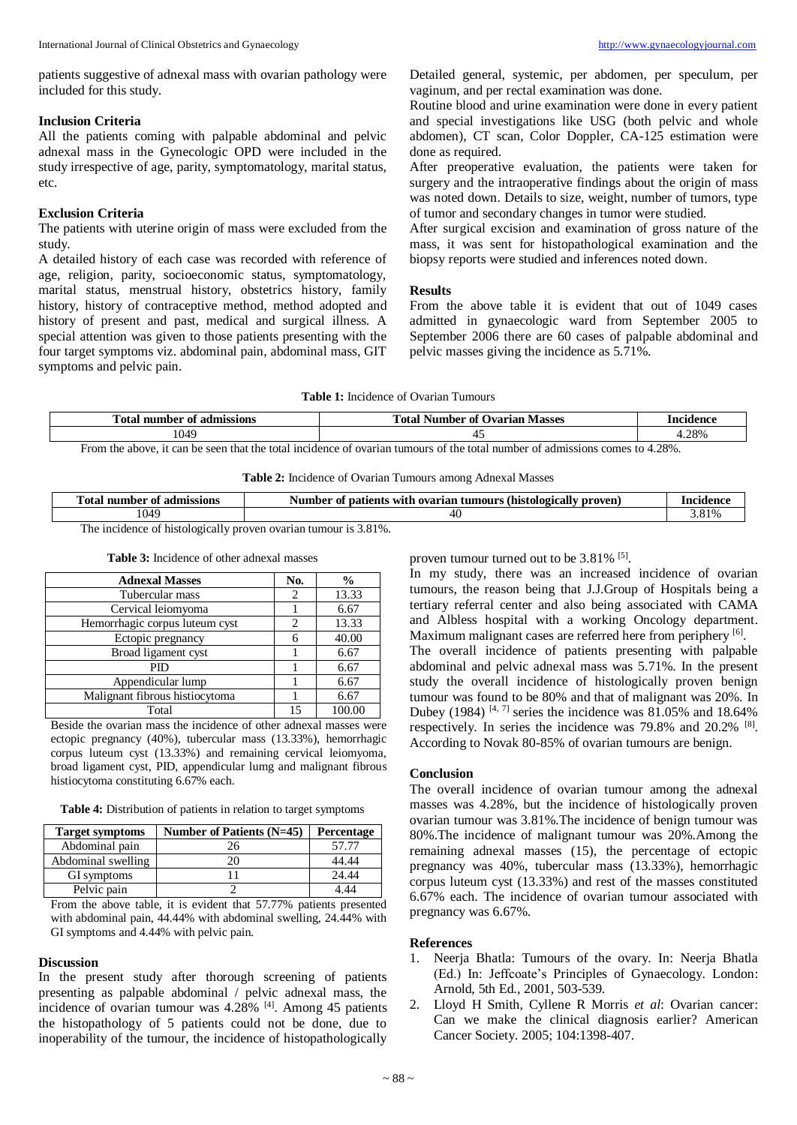patients suggestive of adnexal mass with ovarian pathology were included for this study.

#### **Inclusion Criteria**

All the patients coming with palpable abdominal and pelvic adnexal mass in the Gynecologic OPD were included in the study irrespective of age, parity, symptomatology, marital status, etc.

# **Exclusion Criteria**

The patients with uterine origin of mass were excluded from the study.

A detailed history of each case was recorded with reference of age, religion, parity, socioeconomic status, symptomatology, marital status, menstrual history, obstetrics history, family history, history of contraceptive method, method adopted and history of present and past, medical and surgical illness. A special attention was given to those patients presenting with the four target symptoms viz. abdominal pain, abdominal mass, GIT symptoms and pelvic pain.

Detailed general, systemic, per abdomen, per speculum, per vaginum, and per rectal examination was done.

Routine blood and urine examination were done in every patient and special investigations like USG (both pelvic and whole abdomen), CT scan, Color Doppler, CA-125 estimation were done as required.

After preoperative evaluation, the patients were taken for surgery and the intraoperative findings about the origin of mass was noted down. Details to size, weight, number of tumors, type of tumor and secondary changes in tumor were studied.

After surgical excision and examination of gross nature of the mass, it was sent for histopathological examination and the biopsy reports were studied and inferences noted down.

## **Results**

From the above table it is evident that out of 1049 cases admitted in gynaecologic ward from September 2005 to September 2006 there are 60 cases of palpable abdominal and pelvic masses giving the incidence as 5.71%.

### **Table 1:** Incidence of Ovarian Tumours

| m<br>- `∩+<br>admissions<br>number<br>0Ì<br>ิวเ<br>. VI | ื่∩≠<br><b>Exarian</b><br><b>Masses</b><br>nber<br>`0İ<br>Num<br><br>ີ | donoc<br>n o 1/ |
|---------------------------------------------------------|------------------------------------------------------------------------|-----------------|
| $\Omega$<br>しいせつ                                        |                                                                        | +.28%           |

From the above, it can be seen that the total incidence of ovarian tumours of the total number of admissions comes to 4.28%.

|  |  |  | <b>Table 2:</b> Incidence of Ovarian Tumours among Adnexal Masses |  |  |  |  |  |  |
|--|--|--|-------------------------------------------------------------------|--|--|--|--|--|--|
|--|--|--|-------------------------------------------------------------------|--|--|--|--|--|--|

| <b>CONTRACTOR</b><br>Total<br>nur<br>admissions<br>mber<br>- OI | (histologica<br>tients wit<br>Number<br>proven.<br>ovarian<br>_all™<br>anours .<br>$\ddotsc$<br>ОI<br>ทม | Incidence |  |  |
|-----------------------------------------------------------------|----------------------------------------------------------------------------------------------------------|-----------|--|--|
| 1049                                                            |                                                                                                          | Q10       |  |  |
| 010/<br>$TL -$<br>.                                             |                                                                                                          |           |  |  |

The incidence of histologically proven ovarian tumour is 3.81%.

#### **Table 3:** Incidence of other adnexal masses

| <b>Adnexal Masses</b>          | No. | $\frac{0}{0}$ |
|--------------------------------|-----|---------------|
| Tubercular mass                |     | 13.33         |
| Cervical leiomyoma             |     | 6.67          |
| Hemorrhagic corpus luteum cyst |     | 13.33         |
| Ectopic pregnancy              |     | 40.00         |
| Broad ligament cyst            |     | 6.67          |
| PID                            |     | 6.67          |
| Appendicular lump              |     | 6.67          |
| Malignant fibrous histiocytoma |     | 6.67          |
| Total                          | 15  |               |

Beside the ovarian mass the incidence of other adnexal masses were ectopic pregnancy (40%), tubercular mass (13.33%), hemorrhagic corpus luteum cyst (13.33%) and remaining cervical leiomyoma, broad ligament cyst, PID, appendicular lumg and malignant fibrous histiocytoma constituting 6.67% each.

**Table 4:** Distribution of patients in relation to target symptoms

| <b>Target symptoms</b> | Number of Patients $(N=45)$ | Percentage |
|------------------------|-----------------------------|------------|
| Abdominal pain         | 26                          | 57.77      |
| Abdominal swelling     |                             | 44.44      |
| GI symptoms            |                             | 24.44      |
| Pelvic pain            |                             | l 44       |

From the above table, it is evident that 57.77% patients presented with abdominal pain, 44.44% with abdominal swelling, 24.44% with GI symptoms and 4.44% with pelvic pain.

## **Discussion**

In the present study after thorough screening of patients presenting as palpable abdominal / pelvic adnexal mass, the incidence of ovarian tumour was 4.28% <sup>[4]</sup>. Among 45 patients the histopathology of 5 patients could not be done, due to inoperability of the tumour, the incidence of histopathologically

proven tumour turned out to be 3.81% <sup>[5]</sup>.

In my study, there was an increased incidence of ovarian tumours, the reason being that J.J.Group of Hospitals being a tertiary referral center and also being associated with CAMA and Albless hospital with a working Oncology department. Maximum malignant cases are referred here from periphery [6]. The overall incidence of patients presenting with palpable abdominal and pelvic adnexal mass was 5.71%. In the present study the overall incidence of histologically proven benign tumour was found to be 80% and that of malignant was 20%. In Dubey (1984)  $[4, 7]$  series the incidence was 81.05% and 18.64% respectively. In series the incidence was 79.8% and 20.2% <sup>[8]</sup>. According to Novak 80-85% of ovarian tumours are benign.

# **Conclusion**

The overall incidence of ovarian tumour among the adnexal masses was 4.28%, but the incidence of histologically proven ovarian tumour was 3.81%.The incidence of benign tumour was 80%.The incidence of malignant tumour was 20%.Among the remaining adnexal masses (15), the percentage of ectopic pregnancy was 40%, tubercular mass (13.33%), hemorrhagic corpus luteum cyst (13.33%) and rest of the masses constituted 6.67% each. The incidence of ovarian tumour associated with pregnancy was 6.67%.

#### **References**

- 1. Neerja Bhatla: Tumours of the ovary. In: Neerja Bhatla (Ed.) In: Jeffcoate's Principles of Gynaecology. London: Arnold, 5th Ed., 2001, 503-539.
- 2. Lloyd H Smith, Cyllene R Morris *et al*: Ovarian cancer: Can we make the clinical diagnosis earlier? American Cancer Society. 2005; 104:1398-407.